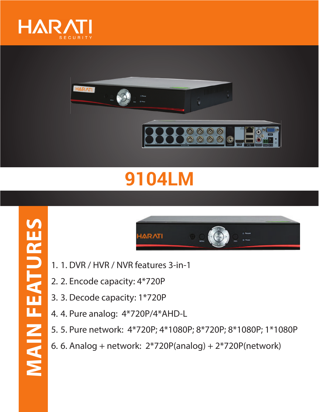



## **9104LM**



- 1. 1. DVR / HVR / NVR features 3-in-1
- 2. 2. Encode capacity: 4\*720P
- 3. 3. Decode capacity: 1\*720P
- 4. 4. Pure analog: 4\*720P/4\*AHD-L
- 5. 5. Pure network: 4\*720P; 4\*1080P; 8\*720P; 8\*1080P; 1\*1080P
- 6. 6. Analog + network: 2\*720P(analog) + 2\*720P(network)